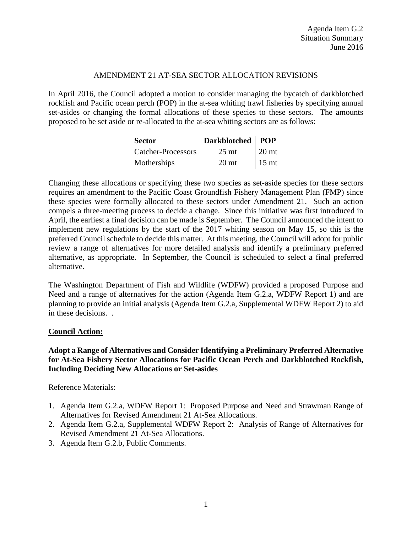### AMENDMENT 21 AT-SEA SECTOR ALLOCATION REVISIONS

In April 2016, the Council adopted a motion to consider managing the bycatch of darkblotched rockfish and Pacific ocean perch (POP) in the at-sea whiting trawl fisheries by specifying annual set-asides or changing the formal allocations of these species to these sectors. The amounts proposed to be set aside or re-allocated to the at-sea whiting sectors are as follows:

| <b>Sector</b>             | <b>Darkblotched</b> | <b>POP</b>       |
|---------------------------|---------------------|------------------|
| <b>Catcher-Processors</b> | 25 <sub>mt</sub>    | 20 <sub>mt</sub> |
| Motherships               | 20 <sub>mt</sub>    | 15 <sub>mt</sub> |

Changing these allocations or specifying these two species as set-aside species for these sectors requires an amendment to the Pacific Coast Groundfish Fishery Management Plan (FMP) since these species were formally allocated to these sectors under Amendment 21. Such an action compels a three-meeting process to decide a change. Since this initiative was first introduced in April, the earliest a final decision can be made is September. The Council announced the intent to implement new regulations by the start of the 2017 whiting season on May 15, so this is the preferred Council schedule to decide this matter. At this meeting, the Council will adopt for public review a range of alternatives for more detailed analysis and identify a preliminary preferred alternative, as appropriate. In September, the Council is scheduled to select a final preferred alternative.

The Washington Department of Fish and Wildlife (WDFW) provided a proposed Purpose and Need and a range of alternatives for the action (Agenda Item G.2.a, WDFW Report 1) and are planning to provide an initial analysis (Agenda Item G.2.a, Supplemental WDFW Report 2) to aid in these decisions. .

### **Council Action:**

## **Adopt a Range of Alternatives and Consider Identifying a Preliminary Preferred Alternative for At-Sea Fishery Sector Allocations for Pacific Ocean Perch and Darkblotched Rockfish, Including Deciding New Allocations or Set-asides**

### Reference Materials:

- 1. Agenda Item G.2.a, WDFW Report 1: Proposed Purpose and Need and Strawman Range of Alternatives for Revised Amendment 21 At-Sea Allocations.
- 2. Agenda Item G.2.a, Supplemental WDFW Report 2: Analysis of Range of Alternatives for Revised Amendment 21 At-Sea Allocations.
- 3. Agenda Item G.2.b, Public Comments.